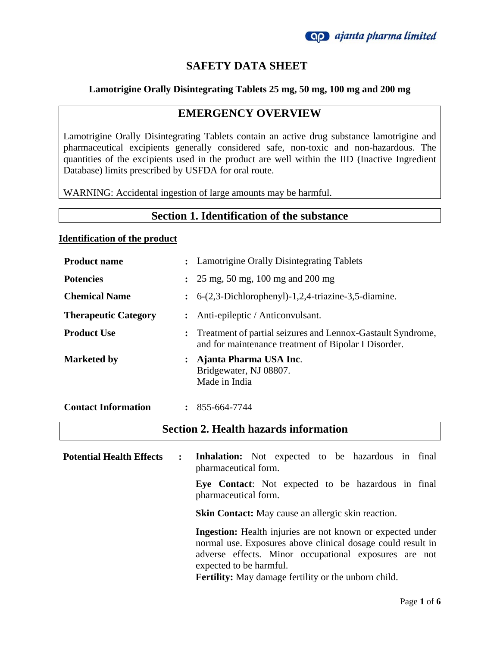

## **SAFETY DATA SHEET**

#### **Lamotrigine Orally Disintegrating Tablets 25 mg, 50 mg, 100 mg and 200 mg**

## **EMERGENCY OVERVIEW**

Lamotrigine Orally Disintegrating Tablets contain an active drug substance lamotrigine and pharmaceutical excipients generally considered safe, non-toxic and non-hazardous. The quantities of the excipients used in the product are well within the IID (Inactive Ingredient Database) limits prescribed by USFDA for oral route.

WARNING: Accidental ingestion of large amounts may be harmful.

#### **Section 1. Identification of the substance**

#### **Identification of the product**

| <b>Section 2. Health hazards information</b> |                |                                                                                                                     |  |
|----------------------------------------------|----------------|---------------------------------------------------------------------------------------------------------------------|--|
| <b>Contact Information</b>                   | $\mathbf{r}$   | 855-664-7744                                                                                                        |  |
| <b>Marketed by</b>                           | $\ddot{\cdot}$ | Ajanta Pharma USA Inc.<br>Bridgewater, NJ 08807.<br>Made in India                                                   |  |
| <b>Product Use</b>                           | $\ddot{\cdot}$ | Treatment of partial seizures and Lennox-Gastault Syndrome,<br>and for maintenance treatment of Bipolar I Disorder. |  |
| <b>Therapeutic Category</b>                  |                | Anti-epileptic / Anticonvulsant.                                                                                    |  |
| <b>Chemical Name</b>                         | $\ddot{\cdot}$ | 6-(2,3-Dichlorophenyl)-1,2,4-triazine-3,5-diamine.                                                                  |  |
| <b>Potencies</b>                             | $\ddot{\cdot}$ | 25 mg, 50 mg, 100 mg and 200 mg                                                                                     |  |
| <b>Product name</b>                          |                | : Lamotrigine Orally Disintegrating Tablets                                                                         |  |

**Potential Health Effects : Inhalation:** Not expected to be hazardous in final pharmaceutical form. **Eye Contact**: Not expected to be hazardous in final pharmaceutical form. **Skin Contact:** May cause an allergic skin reaction. **Ingestion:** Health injuries are not known or expected under normal use. Exposures above clinical dosage could result in adverse effects. Minor occupational exposures are not expected to be harmful.

**Fertility:** May damage fertility or the unborn child.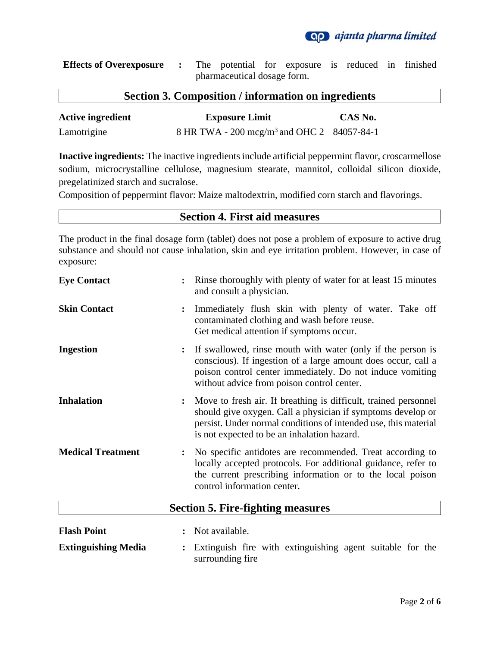**Qp** ajanta pharma limited

| <b>Effects of Overexposure :</b> The potential for exposure is reduced in finished |  |                             |  |  |  |
|------------------------------------------------------------------------------------|--|-----------------------------|--|--|--|
|                                                                                    |  | pharmaceutical dosage form. |  |  |  |

## **Section 3. Composition / information on ingredients**

| <b>Active ingredient</b> | <b>Exposure Limit</b>                                  | CAS No. |
|--------------------------|--------------------------------------------------------|---------|
| Lamotrigine              | 8 HR TWA - 200 mcg/m <sup>3</sup> and OHC 2 84057-84-1 |         |

**Inactive ingredients:** The inactive ingredients include artificial peppermint flavor, croscarmellose sodium, microcrystalline cellulose, magnesium stearate, mannitol, colloidal silicon dioxide, pregelatinized starch and sucralose.

Composition of peppermint flavor: Maize maltodextrin, modified corn starch and flavorings.

#### **Section 4. First aid measures**

The product in the final dosage form (tablet) does not pose a problem of exposure to active drug substance and should not cause inhalation, skin and eye irritation problem. However, in case of exposure:

| <b>Eye Contact</b>         |                | Rinse thoroughly with plenty of water for at least 15 minutes<br>and consult a physician.                                                                                                                                                        |
|----------------------------|----------------|--------------------------------------------------------------------------------------------------------------------------------------------------------------------------------------------------------------------------------------------------|
| <b>Skin Contact</b>        | $\ddot{\cdot}$ | Immediately flush skin with plenty of water. Take off<br>contaminated clothing and wash before reuse.<br>Get medical attention if symptoms occur.                                                                                                |
| <b>Ingestion</b>           | $\ddot{\cdot}$ | If swallowed, rinse mouth with water (only if the person is<br>conscious). If ingestion of a large amount does occur, call a<br>poison control center immediately. Do not induce vomiting<br>without advice from poison control center.          |
| <b>Inhalation</b>          | $\ddot{\cdot}$ | Move to fresh air. If breathing is difficult, trained personnel<br>should give oxygen. Call a physician if symptoms develop or<br>persist. Under normal conditions of intended use, this material<br>is not expected to be an inhalation hazard. |
| <b>Medical Treatment</b>   |                | No specific antidotes are recommended. Treat according to<br>locally accepted protocols. For additional guidance, refer to<br>the current prescribing information or to the local poison<br>control information center.                          |
|                            |                | <b>Section 5. Fire-fighting measures</b>                                                                                                                                                                                                         |
| <b>Flash Point</b>         |                | Not available.                                                                                                                                                                                                                                   |
| <b>Extinguishing Media</b> |                | Extinguish fire with extinguishing agent suitable for the<br>surrounding fire                                                                                                                                                                    |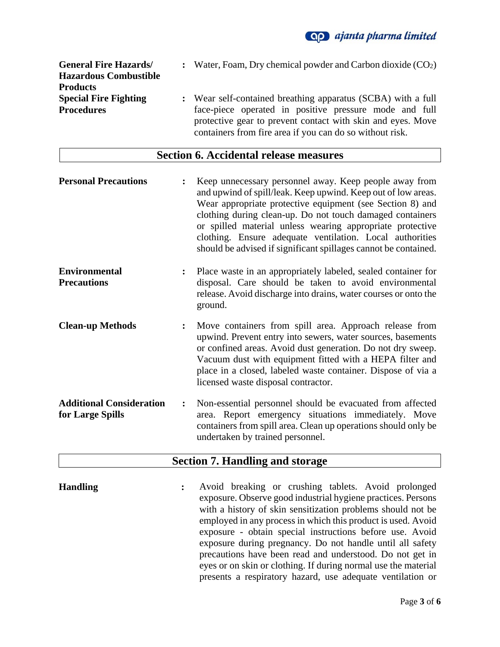| <b>General Fire Hazards/</b> | : Water, Foam, Dry chemical powder and Carbon dioxide $(CO2)$ |
|------------------------------|---------------------------------------------------------------|
| <b>Hazardous Combustible</b> |                                                               |
| <b>Products</b>              |                                                               |
| <b>Special Fire Fighting</b> | : Wear self-contained breathing apparatus (SCBA) with a full  |
| <b>Procedures</b>            | face-piece operated in positive pressure mode and full        |
|                              | protective gear to prevent contact with skin and eyes. Move   |

## **Section 6. Accidental release measures**

containers from fire area if you can do so without risk.

| <b>Personal Precautions</b>                         | $\ddot{\cdot}$ | Keep unnecessary personnel away. Keep people away from<br>and upwind of spill/leak. Keep upwind. Keep out of low areas.<br>Wear appropriate protective equipment (see Section 8) and<br>clothing during clean-up. Do not touch damaged containers<br>or spilled material unless wearing appropriate protective<br>clothing. Ensure adequate ventilation. Local authorities<br>should be advised if significant spillages cannot be contained. |
|-----------------------------------------------------|----------------|-----------------------------------------------------------------------------------------------------------------------------------------------------------------------------------------------------------------------------------------------------------------------------------------------------------------------------------------------------------------------------------------------------------------------------------------------|
| <b>Environmental</b><br><b>Precautions</b>          | $\ddot{\cdot}$ | Place waste in an appropriately labeled, sealed container for<br>disposal. Care should be taken to avoid environmental<br>release. Avoid discharge into drains, water courses or onto the<br>ground.                                                                                                                                                                                                                                          |
| <b>Clean-up Methods</b>                             | $\ddot{\cdot}$ | Move containers from spill area. Approach release from<br>upwind. Prevent entry into sewers, water sources, basements<br>or confined areas. Avoid dust generation. Do not dry sweep.<br>Vacuum dust with equipment fitted with a HEPA filter and<br>place in a closed, labeled waste container. Dispose of via a<br>licensed waste disposal contractor.                                                                                       |
| <b>Additional Consideration</b><br>for Large Spills | $\ddot{\cdot}$ | Non-essential personnel should be evacuated from affected<br>area. Report emergency situations immediately. Move<br>containers from spill area. Clean up operations should only be<br>undertaken by trained personnel.                                                                                                                                                                                                                        |

## **Section 7. Handling and storage**

**Handling :** Avoid breaking or crushing tablets. Avoid prolonged exposure. Observe good industrial hygiene practices. Persons with a history of skin sensitization problems should not be employed in any process in which this product is used. Avoid exposure - obtain special instructions before use. Avoid exposure during pregnancy. Do not handle until all safety precautions have been read and understood. Do not get in eyes or on skin or clothing. If during normal use the material presents a respiratory hazard, use adequate ventilation or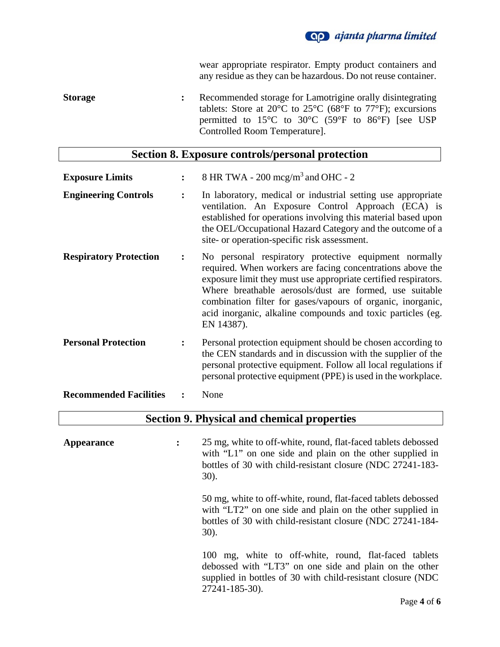

wear appropriate respirator. Empty product containers and any residue as they can be hazardous. Do not reuse container.

**Storage :** Recommended storage for Lamotrigine orally disintegrating tablets: Store at 20 $\degree$ C to 25 $\degree$ C (68 $\degree$ F to 77 $\degree$ F); excursions permitted to 15°C to 30°C (59°F to 86°F) [see USP Controlled Room Temperature].

#### **Section 8. Exposure controls/personal protection**

| <b>Exposure Limits</b>        |                | 8 HR TWA - 200 mcg/m <sup>3</sup> and OHC - 2                                                                                                                                                                                                                                                                                                                                                 |
|-------------------------------|----------------|-----------------------------------------------------------------------------------------------------------------------------------------------------------------------------------------------------------------------------------------------------------------------------------------------------------------------------------------------------------------------------------------------|
| <b>Engineering Controls</b>   | :              | In laboratory, medical or industrial setting use appropriate<br>ventilation. An Exposure Control Approach (ECA) is<br>established for operations involving this material based upon<br>the OEL/Occupational Hazard Category and the outcome of a<br>site- or operation-specific risk assessment.                                                                                              |
| <b>Respiratory Protection</b> | $\ddot{\cdot}$ | No personal respiratory protective equipment normally<br>required. When workers are facing concentrations above the<br>exposure limit they must use appropriate certified respirators.<br>Where breathable aerosols/dust are formed, use suitable<br>combination filter for gases/vapours of organic, inorganic,<br>acid inorganic, alkaline compounds and toxic particles (eg.<br>EN 14387). |
| <b>Personal Protection</b>    |                | Personal protection equipment should be chosen according to<br>the CEN standards and in discussion with the supplier of the<br>personal protective equipment. Follow all local regulations if<br>personal protective equipment (PPE) is used in the workplace.                                                                                                                                |
| <b>Recommended Facilities</b> |                | None                                                                                                                                                                                                                                                                                                                                                                                          |

**Section 9. Physical and chemical properties**

**Appearance :** 25 mg, white to off-white, round, flat-faced tablets debossed with "L1" on one side and plain on the other supplied in bottles of 30 with child-resistant closure (NDC 27241-183- 30). 50 mg, white to off-white, round, flat-faced tablets debossed with "LT2" on one side and plain on the other supplied in bottles of 30 with child-resistant closure (NDC 27241-184- 30).

> 100 mg, white to off-white, round, flat-faced tablets debossed with "LT3" on one side and plain on the other supplied in bottles of 30 with child-resistant closure (NDC 27241-185-30).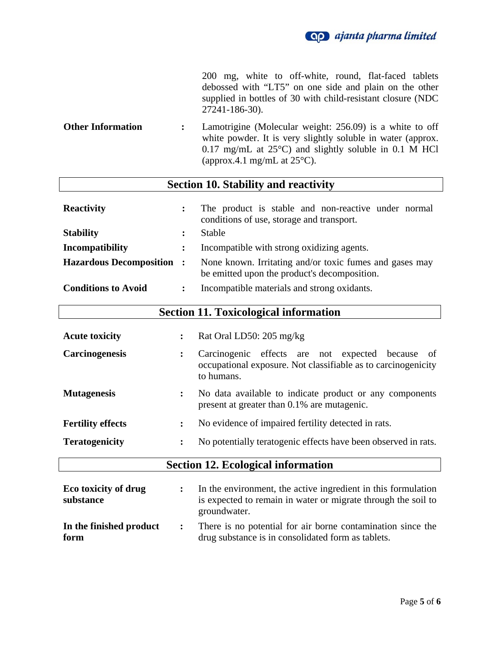

|                          |                | 200 mg, white to off-white, round, flat-faced tablets<br>debossed with "LT5" on one side and plain on the other<br>supplied in bottles of 30 with child-resistant closure (NDC<br>27241-186-30).                                      |
|--------------------------|----------------|---------------------------------------------------------------------------------------------------------------------------------------------------------------------------------------------------------------------------------------|
| <b>Other Information</b> | $\ddot{\cdot}$ | Lamotrigine (Molecular weight: 256.09) is a white to off<br>white powder. It is very slightly soluble in water (approx.<br>$0.17$ mg/mL at $25^{\circ}$ C) and slightly soluble in 0.1 M HCl<br>(approx.4.1 mg/mL at $25^{\circ}$ C). |

# **Section 10. Stability and reactivity**

| <b>Reactivity</b>                |                | The product is stable and non-reactive under normal<br>conditions of use, storage and transport.        |
|----------------------------------|----------------|---------------------------------------------------------------------------------------------------------|
| <b>Stability</b>                 |                | Stable                                                                                                  |
| Incompatibility                  | $\ddot{\cdot}$ | Incompatible with strong oxidizing agents.                                                              |
| <b>Hazardous Decomposition :</b> |                | None known. Irritating and/or toxic fumes and gases may<br>be emitted upon the product's decomposition. |
| <b>Conditions to Avoid</b>       | $\ddot{\cdot}$ | Incompatible materials and strong oxidants.                                                             |

## **Section 11. Toxicological information**

| <b>Acute toxicity</b>    |                      | Rat Oral LD50: 205 mg/kg                                                                                                        |
|--------------------------|----------------------|---------------------------------------------------------------------------------------------------------------------------------|
| <b>Carcinogenesis</b>    | $\ddot{\phantom{a}}$ | Carcinogenic effects are not expected because of<br>occupational exposure. Not classifiable as to carcinogenicity<br>to humans. |
| <b>Mutagenesis</b>       | $\ddot{\cdot}$       | No data available to indicate product or any components<br>present at greater than 0.1% are mutagenic.                          |
| <b>Fertility effects</b> | $\ddot{\phantom{a}}$ | No evidence of impaired fertility detected in rats.                                                                             |
| <b>Teratogenicity</b>    | $\ddot{\phantom{a}}$ | No potentially teratogenic effects have been observed in rats.                                                                  |

# **Section 12. Ecological information**

| Eco toxicity of drug<br>substance |               | In the environment, the active ingredient in this formulation<br>is expected to remain in water or migrate through the soil to<br>groundwater. |
|-----------------------------------|---------------|------------------------------------------------------------------------------------------------------------------------------------------------|
| In the finished product<br>form   | $\mathcal{L}$ | There is no potential for air borne contamination since the<br>drug substance is in consolidated form as tablets.                              |